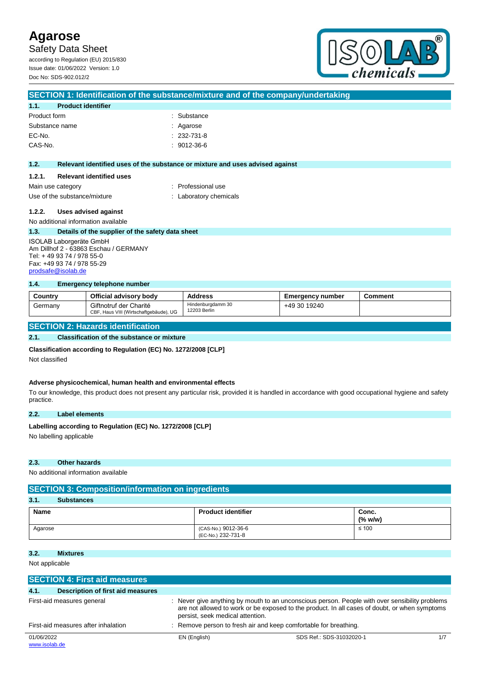Safety Data Sheet

according to Regulation (EU) 2015/830 Issue date: 01/06/2022 Version: 1.0 Doc No: SDS-902.012/2



### **SECTION 1: Identification of the substance/mixture and of the company/undertaking**

| 1.1.           | <b>Product identifier</b> |                   |
|----------------|---------------------------|-------------------|
| Product form   |                           | : Substance       |
| Substance name |                           | : Agarose         |
| EC-No.         |                           | $: 232 - 731 - 8$ |
| CAS-No.        |                           | $: 9012 - 36 - 6$ |

#### **1.2. Relevant identified uses of the substance or mixture and uses advised against**

#### **1.2.1. Relevant identified uses**

| Main use category            | : Professional use     |
|------------------------------|------------------------|
| Use of the substance/mixture | : Laboratory chemicals |

#### **1.2.2. Uses advised against**

#### No additional information available **1.3. Details of the supplier of the safety data sheet**

ISOLAB Laborgeräte GmbH Am Dillhof 2 - 63863 Eschau / GERMANY Tel: + 49 93 74 / 978 55-0 Fax: +49 93 74 / 978 55-29 [prodsafe@isolab.de](mailto:prodsafe@isolab.de)

#### **1.4. Emergency telephone number**

| Country | Official advisory body                                           | <b>Address</b>                    | <b>Emergency number</b> | Comment |
|---------|------------------------------------------------------------------|-----------------------------------|-------------------------|---------|
| Germany | Giftnotruf der Charité<br>CBF, Haus VIII (Wirtschaftgebäude), UG | Hindenburgdamm 30<br>12203 Berlin | +49 30 19240            |         |

#### **SECTION 2: Hazards identification**

#### **2.1. Classification of the substance or mixture**

#### **Classification according to Regulation (EC) No. 1272/2008 [CLP]**

Not classified

#### **Adverse physicochemical, human health and environmental effects**

To our knowledge, this product does not present any particular risk, provided it is handled in accordance with good occupational hygiene and safety practice.

#### **2.2. Label elements**

#### Labelling according to Regulation (EC) No. 1272/2008 [CLP]

No labelling applicable

#### **2.3. Other hazards**

No additional information available

| <b>SECTION 3: Composition/information on ingredients</b> |                                           |                  |  |  |
|----------------------------------------------------------|-------------------------------------------|------------------|--|--|
| 3.1.<br><b>Substances</b>                                |                                           |                  |  |  |
| Name                                                     | <b>Product identifier</b>                 | Conc.<br>(% w/w) |  |  |
| Agarose                                                  | (CAS-No.) 9012-36-6<br>(EC-No.) 232-731-8 | $\leq 100$       |  |  |

#### **3.2. Mixtures**

Not applicable

|                                     | <b>SECTION 4: First aid measures</b> |                                  |                                                                                                                                                                                               |     |
|-------------------------------------|--------------------------------------|----------------------------------|-----------------------------------------------------------------------------------------------------------------------------------------------------------------------------------------------|-----|
| 4.1.                                | Description of first aid measures    |                                  |                                                                                                                                                                                               |     |
|                                     | First-aid measures general           | persist, seek medical attention. | Never give anything by mouth to an unconscious person. People with over sensibility problems<br>are not allowed to work or be exposed to the product. In all cases of doubt, or when symptoms |     |
| First-aid measures after inhalation |                                      |                                  | : Remove person to fresh air and keep comfortable for breathing.                                                                                                                              |     |
| 01/06/2022<br>www.isolab.de         |                                      | EN (English)                     | SDS Ref.: SDS-31032020-1                                                                                                                                                                      | 1/7 |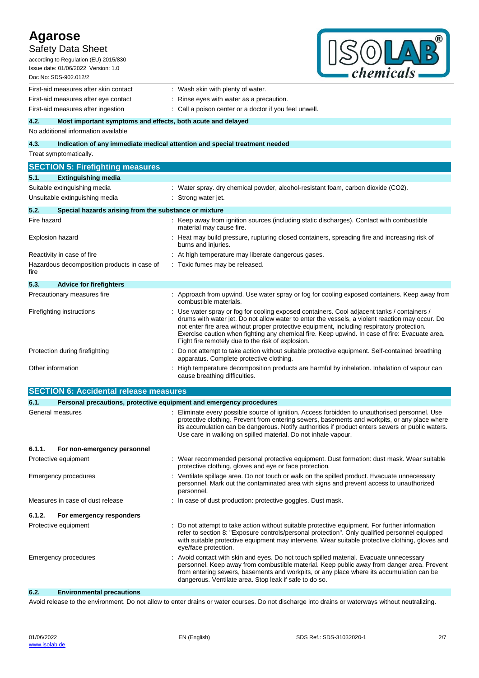| <b>Agarose</b>          | <b>Safety Data Sheet</b><br>according to Regulation (EU) 2015/830<br>Issue date: 01/06/2022 Version: 1.0<br>Doc No: SDS-902.012/2 | chemicals                                                                                                                                                                                                                                                                                                                                                                                                                                           |
|-------------------------|-----------------------------------------------------------------------------------------------------------------------------------|-----------------------------------------------------------------------------------------------------------------------------------------------------------------------------------------------------------------------------------------------------------------------------------------------------------------------------------------------------------------------------------------------------------------------------------------------------|
|                         | First-aid measures after skin contact                                                                                             | : Wash skin with plenty of water.                                                                                                                                                                                                                                                                                                                                                                                                                   |
|                         | First-aid measures after eye contact                                                                                              | Rinse eyes with water as a precaution.                                                                                                                                                                                                                                                                                                                                                                                                              |
|                         | First-aid measures after ingestion                                                                                                | Call a poison center or a doctor if you feel unwell.                                                                                                                                                                                                                                                                                                                                                                                                |
| 4.2.                    | Most important symptoms and effects, both acute and delayed                                                                       |                                                                                                                                                                                                                                                                                                                                                                                                                                                     |
|                         | No additional information available                                                                                               |                                                                                                                                                                                                                                                                                                                                                                                                                                                     |
| 4.3.                    | Indication of any immediate medical attention and special treatment needed<br>Treat symptomatically.                              |                                                                                                                                                                                                                                                                                                                                                                                                                                                     |
|                         | <b>SECTION 5: Firefighting measures</b>                                                                                           |                                                                                                                                                                                                                                                                                                                                                                                                                                                     |
| 5.1.                    | <b>Extinguishing media</b>                                                                                                        |                                                                                                                                                                                                                                                                                                                                                                                                                                                     |
|                         | Suitable extinguishing media                                                                                                      | : Water spray. dry chemical powder, alcohol-resistant foam, carbon dioxide (CO2).                                                                                                                                                                                                                                                                                                                                                                   |
|                         | Unsuitable extinguishing media                                                                                                    | : Strong water jet.                                                                                                                                                                                                                                                                                                                                                                                                                                 |
| 5.2.                    | Special hazards arising from the substance or mixture                                                                             |                                                                                                                                                                                                                                                                                                                                                                                                                                                     |
| Fire hazard             |                                                                                                                                   | : Keep away from ignition sources (including static discharges). Contact with combustible<br>material may cause fire.                                                                                                                                                                                                                                                                                                                               |
| <b>Explosion hazard</b> |                                                                                                                                   | : Heat may build pressure, rupturing closed containers, spreading fire and increasing risk of<br>burns and injuries.                                                                                                                                                                                                                                                                                                                                |
|                         | Reactivity in case of fire                                                                                                        | : At high temperature may liberate dangerous gases.                                                                                                                                                                                                                                                                                                                                                                                                 |
| fire                    | Hazardous decomposition products in case of                                                                                       | : Toxic fumes may be released.                                                                                                                                                                                                                                                                                                                                                                                                                      |
| 5.3.                    | <b>Advice for firefighters</b>                                                                                                    |                                                                                                                                                                                                                                                                                                                                                                                                                                                     |
|                         | Precautionary measures fire                                                                                                       | : Approach from upwind. Use water spray or fog for cooling exposed containers. Keep away from<br>combustible materials.                                                                                                                                                                                                                                                                                                                             |
|                         | Firefighting instructions                                                                                                         | : Use water spray or fog for cooling exposed containers. Cool adjacent tanks / containers /<br>drums with water jet. Do not allow water to enter the vessels, a violent reaction may occur. Do<br>not enter fire area without proper protective equipment, including respiratory protection.<br>Exercise caution when fighting any chemical fire. Keep upwind. In case of fire: Evacuate area.<br>Fight fire remotely due to the risk of explosion. |
|                         | Protection during firefighting                                                                                                    | : Do not attempt to take action without suitable protective equipment. Self-contained breathing<br>apparatus. Complete protective clothing.                                                                                                                                                                                                                                                                                                         |
| Other information       |                                                                                                                                   | High temperature decomposition products are harmful by inhalation. Inhalation of vapour can<br>cause breathing difficulties.                                                                                                                                                                                                                                                                                                                        |
|                         | <b>SECTION 6: Accidental release measures</b>                                                                                     |                                                                                                                                                                                                                                                                                                                                                                                                                                                     |
| 6.1.                    | Personal precautions, protective equipment and emergency procedures                                                               |                                                                                                                                                                                                                                                                                                                                                                                                                                                     |
|                         | General measures                                                                                                                  | : Eliminate every possible source of ignition. Access forbidden to unauthorised personnel. Use<br>protective clothing. Prevent from entering sewers, basements and workpits, or any place where<br>its accumulation can be dangerous. Notify authorities if product enters sewers or public waters.<br>Use care in walking on spilled material. Do not inhale vapour.                                                                               |
| 6.1.1.                  | For non-emergency personnel                                                                                                       |                                                                                                                                                                                                                                                                                                                                                                                                                                                     |
|                         | Protective equipment                                                                                                              | : Wear recommended personal protective equipment. Dust formation: dust mask. Wear suitable<br>protective clothing, gloves and eye or face protection.                                                                                                                                                                                                                                                                                               |
|                         | <b>Emergency procedures</b>                                                                                                       | : Ventilate spillage area. Do not touch or walk on the spilled product. Evacuate unnecessary<br>personnel. Mark out the contaminated area with signs and prevent access to unauthorized<br>personnel.                                                                                                                                                                                                                                               |
|                         | Measures in case of dust release                                                                                                  | : In case of dust production: protective goggles. Dust mask.                                                                                                                                                                                                                                                                                                                                                                                        |
| 6.1.2.                  | For emergency responders                                                                                                          |                                                                                                                                                                                                                                                                                                                                                                                                                                                     |
|                         | Protective equipment                                                                                                              | Do not attempt to take action without suitable protective equipment. For further information<br>refer to section 8: "Exposure controls/personal protection". Only qualified personnel equipped<br>with suitable protective equipment may intervene. Wear suitable protective clothing, gloves and<br>eye/face protection.                                                                                                                           |
|                         | Emergency procedures                                                                                                              | : Avoid contact with skin and eyes. Do not touch spilled material. Evacuate unnecessary<br>personnel. Keep away from combustible material. Keep public away from danger area. Prevent<br>from entering sewers, basements and workpits, or any place where its accumulation can be<br>dangerous. Ventilate area. Stop leak if safe to do so.                                                                                                         |
| 6.2.                    | <b>Environmental precautions</b>                                                                                                  |                                                                                                                                                                                                                                                                                                                                                                                                                                                     |

Avoid release to the environment. Do not allow to enter drains or water courses. Do not discharge into drains or waterways without neutralizing.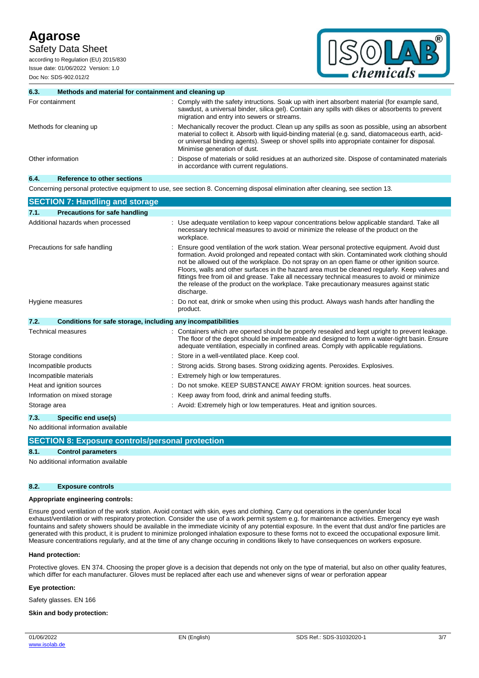Safety Data Sheet

according to Regulation (EU) 2015/830 Issue date: 01/06/2022 Version: 1.0 Doc No: SDS-902.012/2



#### **6.3. Methods and material for containment and cleaning up** For containment **interval in the same of the safety intructions.** Soak up with inert absorbent material (for example sand, sawdust, a universal binder, silica gel). Contain any spills with dikes or absorbents to prevent migration and entry into sewers or streams. Methods for cleaning up example of the product. Clean up any spills as soon as possible, using an absorbent material to collect it. Absorb with liquid-binding material (e.g. sand, diatomaceous earth, acidor universal binding agents). Sweep or shovel spills into appropriate container for disposal. Minimise generation of dust. Other information **intervals of the Contaminated materials** or solid residues at an authorized site. Dispose of contaminated materials in accordance with current regulations.

#### **6.4. Reference to other sections**

Concerning personal protective equipment to use, see section 8. Concerning disposal elimination after cleaning, see section 13.

| <b>SECTION 7: Handling and storage</b>                               |                                                                                                                                                                                                                                                                                                                                                                                                                                                                                                                                                                                                         |
|----------------------------------------------------------------------|---------------------------------------------------------------------------------------------------------------------------------------------------------------------------------------------------------------------------------------------------------------------------------------------------------------------------------------------------------------------------------------------------------------------------------------------------------------------------------------------------------------------------------------------------------------------------------------------------------|
| Precautions for safe handling<br>7.1.                                |                                                                                                                                                                                                                                                                                                                                                                                                                                                                                                                                                                                                         |
| Additional hazards when processed                                    | : Use adequate ventilation to keep vapour concentrations below applicable standard. Take all<br>necessary technical measures to avoid or minimize the release of the product on the<br>workplace.                                                                                                                                                                                                                                                                                                                                                                                                       |
| Precautions for safe handling                                        | Ensure good ventilation of the work station. Wear personal protective equipment. Avoid dust<br>formation. Avoid prolonged and repeated contact with skin. Contaminated work clothing should<br>not be allowed out of the workplace. Do not spray on an open flame or other ignition source.<br>Floors, walls and other surfaces in the hazard area must be cleaned regularly. Keep valves and<br>fittings free from oil and grease. Take all necessary technical measures to avoid or minimize<br>the release of the product on the workplace. Take precautionary measures against static<br>discharge. |
| Hygiene measures                                                     | Do not eat, drink or smoke when using this product. Always wash hands after handling the<br>product.                                                                                                                                                                                                                                                                                                                                                                                                                                                                                                    |
| 7.2.<br>Conditions for safe storage, including any incompatibilities |                                                                                                                                                                                                                                                                                                                                                                                                                                                                                                                                                                                                         |
| Technical measures                                                   | Containers which are opened should be properly resealed and kept upright to prevent leakage.<br>The floor of the depot should be impermeable and designed to form a water-tight basin. Ensure<br>adequate ventilation, especially in confined areas. Comply with applicable regulations.                                                                                                                                                                                                                                                                                                                |
| Storage conditions                                                   | Store in a well-ventilated place. Keep cool.                                                                                                                                                                                                                                                                                                                                                                                                                                                                                                                                                            |
| Incompatible products                                                | Strong acids. Strong bases. Strong oxidizing agents. Peroxides. Explosives.                                                                                                                                                                                                                                                                                                                                                                                                                                                                                                                             |
| Incompatible materials                                               | Extremely high or low temperatures.                                                                                                                                                                                                                                                                                                                                                                                                                                                                                                                                                                     |
| Heat and ignition sources                                            | Do not smoke. KEEP SUBSTANCE AWAY FROM: ignition sources. heat sources.                                                                                                                                                                                                                                                                                                                                                                                                                                                                                                                                 |
| Information on mixed storage                                         | Keep away from food, drink and animal feeding stuffs.                                                                                                                                                                                                                                                                                                                                                                                                                                                                                                                                                   |
| Storage area                                                         | : Avoid: Extremely high or low temperatures. Heat and ignition sources.                                                                                                                                                                                                                                                                                                                                                                                                                                                                                                                                 |
| 7.3.<br>Specific end use(s)                                          |                                                                                                                                                                                                                                                                                                                                                                                                                                                                                                                                                                                                         |
| No additional information available                                  |                                                                                                                                                                                                                                                                                                                                                                                                                                                                                                                                                                                                         |

**SECTION 8: Exposure controls/personal protection**

#### **8.1. Control parameters**

No additional information available

#### **8.2. Exposure controls**

#### **Appropriate engineering controls:**

Ensure good ventilation of the work station. Avoid contact with skin, eyes and clothing. Carry out operations in the open/under local exhaust/ventilation or with respiratory protection. Consider the use of a work permit system e.g. for maintenance activities. Emergency eye wash fountains and safety showers should be available in the immediate vicinity of any potential exposure. In the event that dust and/or fine particles are generated with this product, it is prudent to minimize prolonged inhalation exposure to these forms not to exceed the occupational exposure limit. Measure concentrations regularly, and at the time of any change occuring in conditions likely to have consequences on workers exposure.

#### **Hand protection:**

Protective gloves. EN 374. Choosing the proper glove is a decision that depends not only on the type of material, but also on other quality features, which differ for each manufacturer. Gloves must be replaced after each use and whenever signs of wear or perforation appear

#### **Eye protection:**

Safety glasses. EN 166

#### **Skin and body protection:**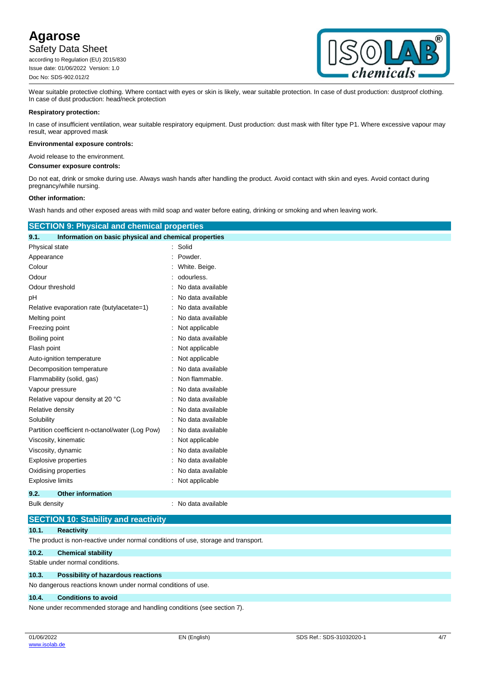Safety Data Sheet

according to Regulation (EU) 2015/830 Issue date: 01/06/2022 Version: 1.0 Doc No: SDS-902.012/2



Wear suitable protective clothing. Where contact with eyes or skin is likely, wear suitable protection. In case of dust production: dustproof clothing. In case of dust production: head/neck protection

#### **Respiratory protection:**

In case of insufficient ventilation, wear suitable respiratory equipment. Dust production: dust mask with filter type P1. Where excessive vapour may result, wear approved mask

#### **Environmental exposure controls:**

Avoid release to the environment.

**Consumer exposure controls:**

Do not eat, drink or smoke during use. Always wash hands after handling the product. Avoid contact with skin and eyes. Avoid contact during pregnancy/while nursing.

#### **Other information:**

Wash hands and other exposed areas with mild soap and water before eating, drinking or smoking and when leaving work.

| <b>SECTION 9: Physical and chemical properties</b>            |                   |  |  |  |
|---------------------------------------------------------------|-------------------|--|--|--|
| Information on basic physical and chemical properties<br>9.1. |                   |  |  |  |
| Physical state                                                | Solid<br>÷        |  |  |  |
| Appearance                                                    | Powder.           |  |  |  |
| Colour                                                        | White. Beige.     |  |  |  |
| Odour                                                         | odourless.        |  |  |  |
| Odour threshold                                               | No data available |  |  |  |
| рH                                                            | No data available |  |  |  |
| Relative evaporation rate (butylacetate=1)                    | No data available |  |  |  |
| Melting point                                                 | No data available |  |  |  |
| Freezing point                                                | Not applicable    |  |  |  |
| Boiling point                                                 | No data available |  |  |  |
| Flash point                                                   | Not applicable    |  |  |  |
| Auto-ignition temperature                                     | Not applicable    |  |  |  |
| Decomposition temperature                                     | No data available |  |  |  |
| Flammability (solid, gas)                                     | Non flammable.    |  |  |  |
| Vapour pressure                                               | No data available |  |  |  |
| Relative vapour density at 20 °C                              | No data available |  |  |  |
| Relative density                                              | No data available |  |  |  |
| Solubility                                                    | No data available |  |  |  |
| Partition coefficient n-octanol/water (Log Pow)               | No data available |  |  |  |
| Viscosity, kinematic                                          | Not applicable    |  |  |  |
| Viscosity, dynamic                                            | No data available |  |  |  |
| <b>Explosive properties</b>                                   | No data available |  |  |  |
| Oxidising properties                                          | No data available |  |  |  |
| <b>Explosive limits</b>                                       | Not applicable    |  |  |  |
| 9.2.<br><b>Other information</b>                              |                   |  |  |  |

Bulk density **EXECUTE:** No data available

### **SECTION 10: Stability and reactivity**

**10.1. Reactivity**

The product is non-reactive under normal conditions of use, storage and transport.

#### **10.2. Chemical stability**

Stable under normal conditions.

#### **10.3. Possibility of hazardous reactions**

No dangerous reactions known under normal conditions of use.

#### **10.4. Conditions to avoid**

None under recommended storage and handling conditions (see section 7).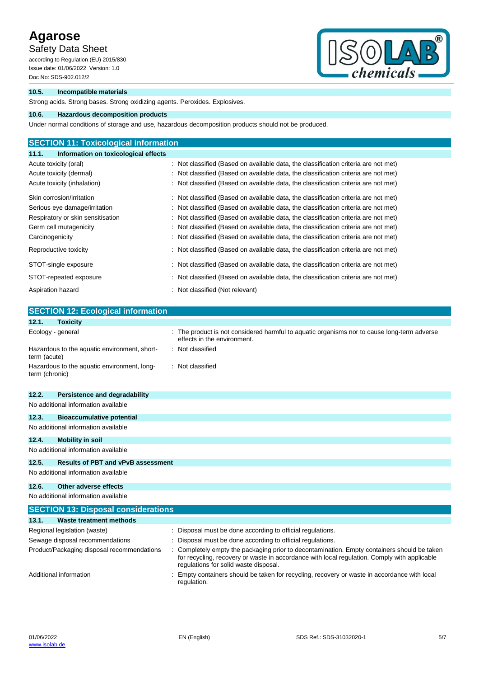Safety Data Sheet

according to Regulation (EU) 2015/830 Issue date: 01/06/2022 Version: 1.0 Doc No: SDS-902.012/2



### **10.5. Incompatible materials**

Strong acids. Strong bases. Strong oxidizing agents. Peroxides. Explosives.

### **10.6. Hazardous decomposition products**

Under normal conditions of storage and use, hazardous decomposition products should not be produced.

| <b>SECTION 11: Toxicological information</b>  |                                                                                     |
|-----------------------------------------------|-------------------------------------------------------------------------------------|
| Information on toxicological effects<br>11.1. |                                                                                     |
| Acute toxicity (oral)                         | : Not classified (Based on available data, the classification criteria are not met) |
| Acute toxicity (dermal)                       | : Not classified (Based on available data, the classification criteria are not met) |
| Acute toxicity (inhalation)                   | : Not classified (Based on available data, the classification criteria are not met) |
| Skin corrosion/irritation                     | : Not classified (Based on available data, the classification criteria are not met) |
| Serious eye damage/irritation                 | : Not classified (Based on available data, the classification criteria are not met) |
| Respiratory or skin sensitisation             | : Not classified (Based on available data, the classification criteria are not met) |
| Germ cell mutagenicity                        | : Not classified (Based on available data, the classification criteria are not met) |
| Carcinogenicity                               | : Not classified (Based on available data, the classification criteria are not met) |
| Reproductive toxicity                         | : Not classified (Based on available data, the classification criteria are not met) |
| STOT-single exposure                          | : Not classified (Based on available data, the classification criteria are not met) |
| STOT-repeated exposure                        | : Not classified (Based on available data, the classification criteria are not met) |
| Aspiration hazard                             | : Not classified (Not relevant)                                                     |

| <b>SECTION 12: Ecological information</b>                     |                                                                                                                                                                                                                                    |
|---------------------------------------------------------------|------------------------------------------------------------------------------------------------------------------------------------------------------------------------------------------------------------------------------------|
| <b>Toxicity</b><br>12.1.                                      |                                                                                                                                                                                                                                    |
| Ecology - general                                             | The product is not considered harmful to aquatic organisms nor to cause long-term adverse<br>effects in the environment.                                                                                                           |
| Hazardous to the aquatic environment, short-<br>term (acute)  | Not classified                                                                                                                                                                                                                     |
| Hazardous to the aquatic environment, long-<br>term (chronic) | Not classified                                                                                                                                                                                                                     |
| 12.2.<br><b>Persistence and degradability</b>                 |                                                                                                                                                                                                                                    |
| No additional information available                           |                                                                                                                                                                                                                                    |
| 12.3.<br><b>Bioaccumulative potential</b>                     |                                                                                                                                                                                                                                    |
| No additional information available                           |                                                                                                                                                                                                                                    |
| 12.4.<br><b>Mobility in soil</b>                              |                                                                                                                                                                                                                                    |
| No additional information available                           |                                                                                                                                                                                                                                    |
| <b>Results of PBT and vPvB assessment</b><br>12.5.            |                                                                                                                                                                                                                                    |
| No additional information available                           |                                                                                                                                                                                                                                    |
| 12.6.<br>Other adverse effects                                |                                                                                                                                                                                                                                    |
| No additional information available                           |                                                                                                                                                                                                                                    |
| <b>SECTION 13: Disposal considerations</b>                    |                                                                                                                                                                                                                                    |
| Waste treatment methods<br>13.1.                              |                                                                                                                                                                                                                                    |
| Regional legislation (waste)                                  | Disposal must be done according to official regulations.                                                                                                                                                                           |
| Sewage disposal recommendations                               | Disposal must be done according to official regulations.                                                                                                                                                                           |
| Product/Packaging disposal recommendations                    | Completely empty the packaging prior to decontamination. Empty containers should be taken<br>for recycling, recovery or waste in accordance with local regulation. Comply with applicable<br>regulations for solid waste disposal. |
| Additional information                                        | Empty containers should be taken for recycling, recovery or waste in accordance with local<br>regulation.                                                                                                                          |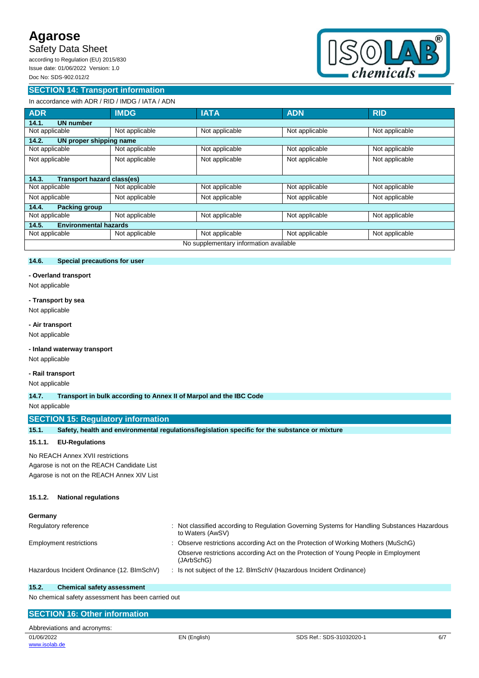# Safety Data Sheet

according to Regulation (EU) 2015/830 Issue date: 01/06/2022 Version: 1.0 Doc No: SDS-902.012/2

# **SECTION 14: Transport information**



# In accordance with ADR / RID / IMDG / IATA / ADN

| <b>ADR</b>                                 | <b>IMDG</b>                  | <b>IATA</b>    | <b>ADN</b>     | <b>RID</b>     |  |  |  |
|--------------------------------------------|------------------------------|----------------|----------------|----------------|--|--|--|
| <b>UN number</b><br>14.1.                  |                              |                |                |                |  |  |  |
| Not applicable                             | Not applicable               | Not applicable | Not applicable | Not applicable |  |  |  |
| 14.2.<br>UN proper shipping name           |                              |                |                |                |  |  |  |
| Not applicable                             | Not applicable               | Not applicable | Not applicable | Not applicable |  |  |  |
| Not applicable                             | Not applicable               | Not applicable | Not applicable | Not applicable |  |  |  |
|                                            |                              |                |                |                |  |  |  |
| <b>Transport hazard class(es)</b><br>14.3. |                              |                |                |                |  |  |  |
| Not applicable                             | Not applicable               | Not applicable | Not applicable | Not applicable |  |  |  |
| Not applicable                             | Not applicable               | Not applicable | Not applicable | Not applicable |  |  |  |
| 14.4.<br><b>Packing group</b>              |                              |                |                |                |  |  |  |
| Not applicable                             | Not applicable               | Not applicable | Not applicable | Not applicable |  |  |  |
| 14.5.                                      | <b>Environmental hazards</b> |                |                |                |  |  |  |
| Not applicable                             | Not applicable               | Not applicable | Not applicable | Not applicable |  |  |  |
| No supplementary information available     |                              |                |                |                |  |  |  |

## **14.6. Special precautions for user**

#### **- Overland transport**

Not applicable

#### **- Transport by sea**

Not applicable

## **- Air transport**

Not applicable

### **- Inland waterway transport**

Not applicable

## **- Rail transport**

Not applicable

**14.7. Transport in bulk according to Annex II of Marpol and the IBC Code**

#### Not applicable

## **SECTION 15: Regulatory information**

| 15.1. | Safety, health and environmental regulations/legislation specific for the substance or mixture |  |  |
|-------|------------------------------------------------------------------------------------------------|--|--|
|       |                                                                                                |  |  |

#### **15.1.1. EU-Regulations**

No REACH Annex XVII restrictions

Agarose is not on the REACH Candidate List Agarose is not on the REACH Annex XIV List

#### **15.1.2. National regulations**

| Germany                                    |                                                                                                                |
|--------------------------------------------|----------------------------------------------------------------------------------------------------------------|
| Regulatory reference                       | Not classified according to Regulation Governing Systems for Handling Substances Hazardous<br>to Waters (AwSV) |
| <b>Employment restrictions</b>             | : Observe restrictions according Act on the Protection of Working Mothers (MuSchG)                             |
|                                            | Observe restrictions according Act on the Protection of Young People in Employment<br>(JArbSchG)               |
| Hazardous Incident Ordinance (12. BImSchV) | Is not subject of the 12. BImSchV (Hazardous Incident Ordinance)                                               |

#### **15.2. Chemical safety assessment**

No chemical safety assessment has been carried out

# EN (English) SDS Ref.: SDS-31032020-1 6/7 **SECTION 16: Other information** Abbreviations and acronyms: